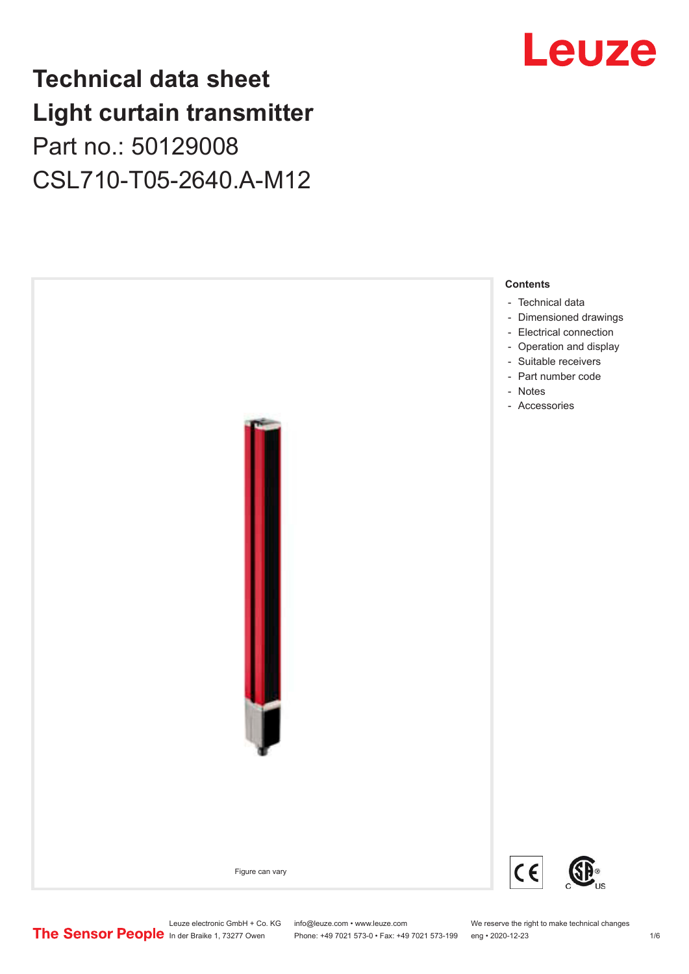## **Technical data sheet Light curtain transmitter** Part no.: 50129008 CSL710-T05-2640.A-M12



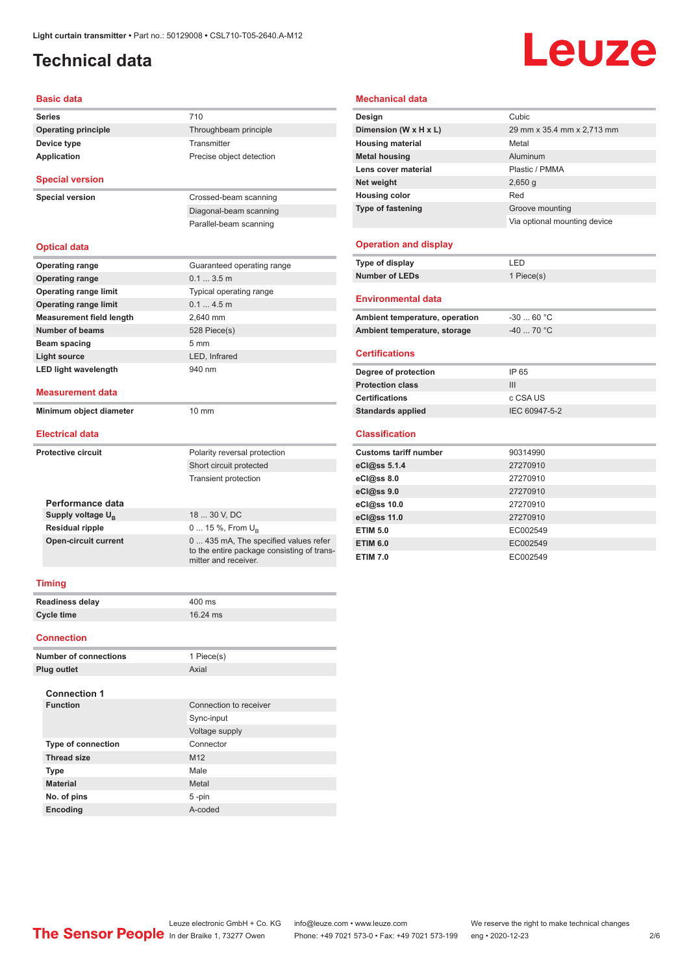## <span id="page-1-0"></span>**Technical data**

# Leuze

#### **Basic data**

| 710<br><b>Series</b><br><b>Operating principle</b><br>Throughbeam principle<br>Device type<br>Transmitter<br><b>Application</b><br>Precise object detection<br><b>Special version</b><br><b>Special version</b><br>Crossed-beam scanning<br>Diagonal-beam scanning<br>Parallel-beam scanning<br><b>Optical data</b><br><b>Operating range</b><br>Guaranteed operating range<br>0.13.5m<br><b>Operating range</b><br><b>Operating range limit</b><br>Typical operating range<br><b>Operating range limit</b><br>0.14.5m<br><b>Measurement field length</b><br>2,640 mm<br><b>Number of beams</b><br>528 Piece(s)<br>5 <sub>mm</sub><br>Beam spacing<br><b>Light source</b><br>LED, Infrared<br><b>LED light wavelength</b><br>940 nm<br><b>Measurement data</b><br>Minimum object diameter<br>$10 \text{ mm}$<br><b>Electrical data</b><br><b>Protective circuit</b><br>Polarity reversal protection<br>Short circuit protected<br><b>Transient protection</b><br>Performance data |
|-----------------------------------------------------------------------------------------------------------------------------------------------------------------------------------------------------------------------------------------------------------------------------------------------------------------------------------------------------------------------------------------------------------------------------------------------------------------------------------------------------------------------------------------------------------------------------------------------------------------------------------------------------------------------------------------------------------------------------------------------------------------------------------------------------------------------------------------------------------------------------------------------------------------------------------------------------------------------------------|
|                                                                                                                                                                                                                                                                                                                                                                                                                                                                                                                                                                                                                                                                                                                                                                                                                                                                                                                                                                                   |
|                                                                                                                                                                                                                                                                                                                                                                                                                                                                                                                                                                                                                                                                                                                                                                                                                                                                                                                                                                                   |
|                                                                                                                                                                                                                                                                                                                                                                                                                                                                                                                                                                                                                                                                                                                                                                                                                                                                                                                                                                                   |
|                                                                                                                                                                                                                                                                                                                                                                                                                                                                                                                                                                                                                                                                                                                                                                                                                                                                                                                                                                                   |
|                                                                                                                                                                                                                                                                                                                                                                                                                                                                                                                                                                                                                                                                                                                                                                                                                                                                                                                                                                                   |
|                                                                                                                                                                                                                                                                                                                                                                                                                                                                                                                                                                                                                                                                                                                                                                                                                                                                                                                                                                                   |
|                                                                                                                                                                                                                                                                                                                                                                                                                                                                                                                                                                                                                                                                                                                                                                                                                                                                                                                                                                                   |
|                                                                                                                                                                                                                                                                                                                                                                                                                                                                                                                                                                                                                                                                                                                                                                                                                                                                                                                                                                                   |
|                                                                                                                                                                                                                                                                                                                                                                                                                                                                                                                                                                                                                                                                                                                                                                                                                                                                                                                                                                                   |
|                                                                                                                                                                                                                                                                                                                                                                                                                                                                                                                                                                                                                                                                                                                                                                                                                                                                                                                                                                                   |
|                                                                                                                                                                                                                                                                                                                                                                                                                                                                                                                                                                                                                                                                                                                                                                                                                                                                                                                                                                                   |
|                                                                                                                                                                                                                                                                                                                                                                                                                                                                                                                                                                                                                                                                                                                                                                                                                                                                                                                                                                                   |
|                                                                                                                                                                                                                                                                                                                                                                                                                                                                                                                                                                                                                                                                                                                                                                                                                                                                                                                                                                                   |
|                                                                                                                                                                                                                                                                                                                                                                                                                                                                                                                                                                                                                                                                                                                                                                                                                                                                                                                                                                                   |
|                                                                                                                                                                                                                                                                                                                                                                                                                                                                                                                                                                                                                                                                                                                                                                                                                                                                                                                                                                                   |
|                                                                                                                                                                                                                                                                                                                                                                                                                                                                                                                                                                                                                                                                                                                                                                                                                                                                                                                                                                                   |
|                                                                                                                                                                                                                                                                                                                                                                                                                                                                                                                                                                                                                                                                                                                                                                                                                                                                                                                                                                                   |
|                                                                                                                                                                                                                                                                                                                                                                                                                                                                                                                                                                                                                                                                                                                                                                                                                                                                                                                                                                                   |
|                                                                                                                                                                                                                                                                                                                                                                                                                                                                                                                                                                                                                                                                                                                                                                                                                                                                                                                                                                                   |
|                                                                                                                                                                                                                                                                                                                                                                                                                                                                                                                                                                                                                                                                                                                                                                                                                                                                                                                                                                                   |
|                                                                                                                                                                                                                                                                                                                                                                                                                                                                                                                                                                                                                                                                                                                                                                                                                                                                                                                                                                                   |
|                                                                                                                                                                                                                                                                                                                                                                                                                                                                                                                                                                                                                                                                                                                                                                                                                                                                                                                                                                                   |
|                                                                                                                                                                                                                                                                                                                                                                                                                                                                                                                                                                                                                                                                                                                                                                                                                                                                                                                                                                                   |
|                                                                                                                                                                                                                                                                                                                                                                                                                                                                                                                                                                                                                                                                                                                                                                                                                                                                                                                                                                                   |
|                                                                                                                                                                                                                                                                                                                                                                                                                                                                                                                                                                                                                                                                                                                                                                                                                                                                                                                                                                                   |
| 18  30 V, DC<br>Supply voltage $U_{\rm B}$                                                                                                                                                                                                                                                                                                                                                                                                                                                                                                                                                                                                                                                                                                                                                                                                                                                                                                                                        |
| <b>Residual ripple</b><br>0  15 %, From $U_{\rm B}$                                                                                                                                                                                                                                                                                                                                                                                                                                                                                                                                                                                                                                                                                                                                                                                                                                                                                                                               |
| <b>Open-circuit current</b><br>0  435 mA, The specified values refer<br>to the entire package consisting of trans-<br>mitter and receiver.                                                                                                                                                                                                                                                                                                                                                                                                                                                                                                                                                                                                                                                                                                                                                                                                                                        |
| <b>Timing</b>                                                                                                                                                                                                                                                                                                                                                                                                                                                                                                                                                                                                                                                                                                                                                                                                                                                                                                                                                                     |
| <b>Readiness delay</b><br>400 ms                                                                                                                                                                                                                                                                                                                                                                                                                                                                                                                                                                                                                                                                                                                                                                                                                                                                                                                                                  |
| <b>Cycle time</b><br>16.24 ms                                                                                                                                                                                                                                                                                                                                                                                                                                                                                                                                                                                                                                                                                                                                                                                                                                                                                                                                                     |
| <b>Connection</b>                                                                                                                                                                                                                                                                                                                                                                                                                                                                                                                                                                                                                                                                                                                                                                                                                                                                                                                                                                 |
| <b>Number of connections</b><br>1 Piece(s)                                                                                                                                                                                                                                                                                                                                                                                                                                                                                                                                                                                                                                                                                                                                                                                                                                                                                                                                        |
|                                                                                                                                                                                                                                                                                                                                                                                                                                                                                                                                                                                                                                                                                                                                                                                                                                                                                                                                                                                   |
| Axial<br><b>Plug outlet</b>                                                                                                                                                                                                                                                                                                                                                                                                                                                                                                                                                                                                                                                                                                                                                                                                                                                                                                                                                       |
|                                                                                                                                                                                                                                                                                                                                                                                                                                                                                                                                                                                                                                                                                                                                                                                                                                                                                                                                                                                   |
| <b>Connection 1</b><br><b>Function</b><br>Connection to receiver                                                                                                                                                                                                                                                                                                                                                                                                                                                                                                                                                                                                                                                                                                                                                                                                                                                                                                                  |
| Sync-input                                                                                                                                                                                                                                                                                                                                                                                                                                                                                                                                                                                                                                                                                                                                                                                                                                                                                                                                                                        |
| Voltage supply                                                                                                                                                                                                                                                                                                                                                                                                                                                                                                                                                                                                                                                                                                                                                                                                                                                                                                                                                                    |

**Thread size** M12 **Type** Male **Material** Metal **No. of pins** 5 -pin **Encoding** A-coded

#### **Mechanical data**

| Design                       | Cubic                        |
|------------------------------|------------------------------|
| Dimension (W x H x L)        | 29 mm x 35.4 mm x 2,713 mm   |
| <b>Housing material</b>      | Metal                        |
| <b>Metal housing</b>         | Aluminum                     |
| Lens cover material          | Plastic / PMMA               |
| Net weight                   | 2,650q                       |
| <b>Housing color</b>         | Red                          |
| <b>Type of fastening</b>     | Groove mounting              |
|                              | Via optional mounting device |
| <b>Operation and display</b> |                              |

## **Type of display** LED

| Number of LEDs            | 1 Piece(s) |  |
|---------------------------|------------|--|
| <b>Environmental data</b> |            |  |

| Ambient temperature, operation | -30  60 °C |
|--------------------------------|------------|
| Ambient temperature, storage   | -40  70 °C |

#### **Certifications**

| Degree of protection     | IP 65         |
|--------------------------|---------------|
| <b>Protection class</b>  | Ш             |
| <b>Certifications</b>    | c CSA US      |
| <b>Standards applied</b> | IEC 60947-5-2 |

#### **Classification**

| <b>Customs tariff number</b> | 90314990 |
|------------------------------|----------|
| eCl@ss 5.1.4                 | 27270910 |
| eCl@ss 8.0                   | 27270910 |
| eCl@ss 9.0                   | 27270910 |
| eCl@ss 10.0                  | 27270910 |
| eCl@ss 11.0                  | 27270910 |
| <b>ETIM 5.0</b>              | EC002549 |
| <b>ETIM 6.0</b>              | EC002549 |
| <b>ETIM 7.0</b>              | EC002549 |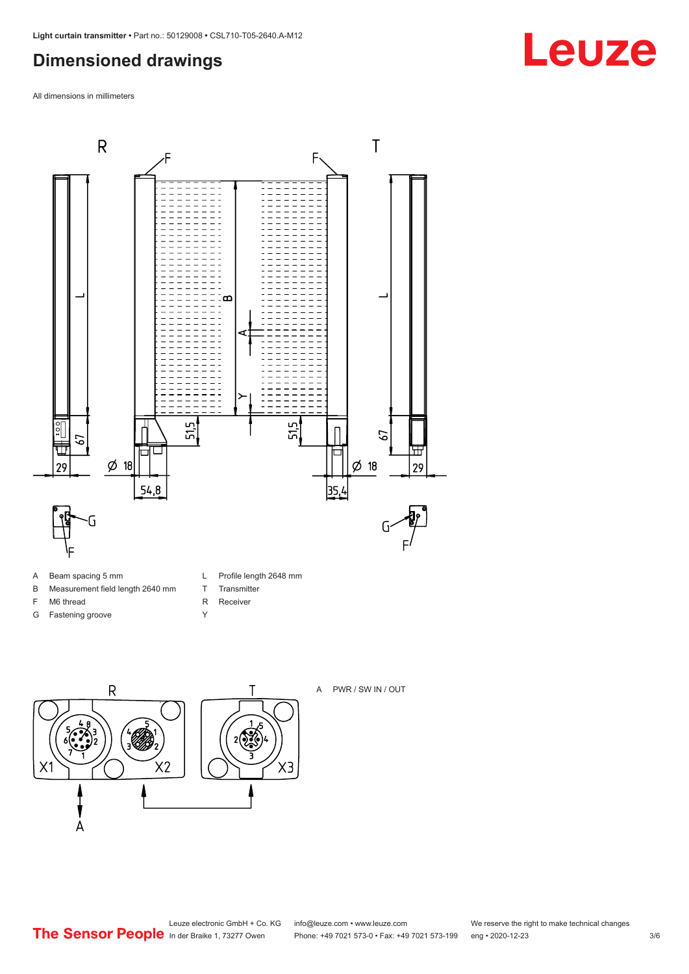## <span id="page-2-0"></span>**Dimensioned drawings**

All dimensions in millimeters



- A Beam spacing 5 mm
- B Measurement field length 2640 mm
- F M6 thread
- G Fastening groove
- L Profile length 2648 mm
- T Transmitter
- R Receiver
- Y





A PWR / SW IN / OUT

Leuze electronic GmbH + Co. KG info@leuze.com • www.leuze.com We reserve the right to make technical changes<br>
The Sensor People in der Braike 1, 73277 Owen Phone: +49 7021 573-0 • Fax: +49 7021 573-199 eng • 2020-12-23

Phone: +49 7021 573-0 • Fax: +49 7021 573-199 eng • 2020-12-23 3/6

## **Leuze**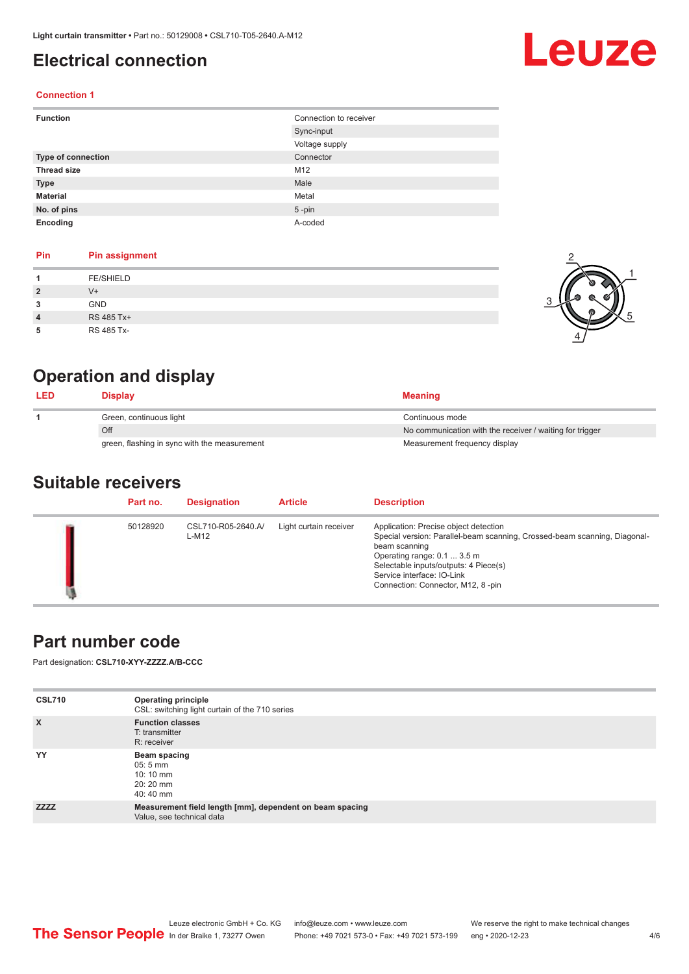## <span id="page-3-0"></span>**Electrical connection**

## Leuze

2

1

5

#### **Connection 1**

| <b>Function</b>           | Connection to receiver |
|---------------------------|------------------------|
|                           | Sync-input             |
|                           | Voltage supply         |
| <b>Type of connection</b> | Connector              |
| <b>Thread size</b>        | M12                    |
| <b>Type</b>               | Male                   |
| <b>Material</b>           | Metal                  |
| No. of pins               | $5$ -pin               |
| Encoding                  | A-coded                |

#### **Pin Pin assignment**

|   | <b>FE/SHIELD</b> |  |
|---|------------------|--|
|   | $V^+$            |  |
| 3 | <b>GND</b>       |  |
| 4 | RS 485 Tx+       |  |
| 5 | RS 485 Tx-       |  |

## **Operation and display**

| <b>LED</b> | <b>Display</b>                               | <b>Meaning</b>                                           |
|------------|----------------------------------------------|----------------------------------------------------------|
|            | Green, continuous light                      | Continuous mode                                          |
|            | Off                                          | No communication with the receiver / waiting for trigger |
|            | green, flashing in sync with the measurement | Measurement frequency display                            |

### **Suitable receivers**

| Part no. | <b>Designation</b>          | <b>Article</b>         | <b>Description</b>                                                                                                                                                                                                                                                             |
|----------|-----------------------------|------------------------|--------------------------------------------------------------------------------------------------------------------------------------------------------------------------------------------------------------------------------------------------------------------------------|
| 50128920 | CSL710-R05-2640.A/<br>L-M12 | Light curtain receiver | Application: Precise object detection<br>Special version: Parallel-beam scanning, Crossed-beam scanning, Diagonal-<br>beam scanning<br>Operating range: 0.1  3.5 m<br>Selectable inputs/outputs: 4 Piece(s)<br>Service interface: IO-Link<br>Connection: Connector, M12, 8-pin |

## **Part number code**

Part designation: **CSL710-XYY-ZZZZ.A/B-CCC**

| <b>CSL710</b> | <b>Operating principle</b><br>CSL: switching light curtain of the 710 series          |
|---------------|---------------------------------------------------------------------------------------|
| $\mathsf{x}$  | <b>Function classes</b><br>T: transmitter<br>R: receiver                              |
| YY            | Beam spacing<br>$05:5 \, \text{mm}$<br>$10:10 \; \text{mm}$<br>$20:20$ mm<br>40:40 mm |
| <b>ZZZZ</b>   | Measurement field length [mm], dependent on beam spacing<br>Value, see technical data |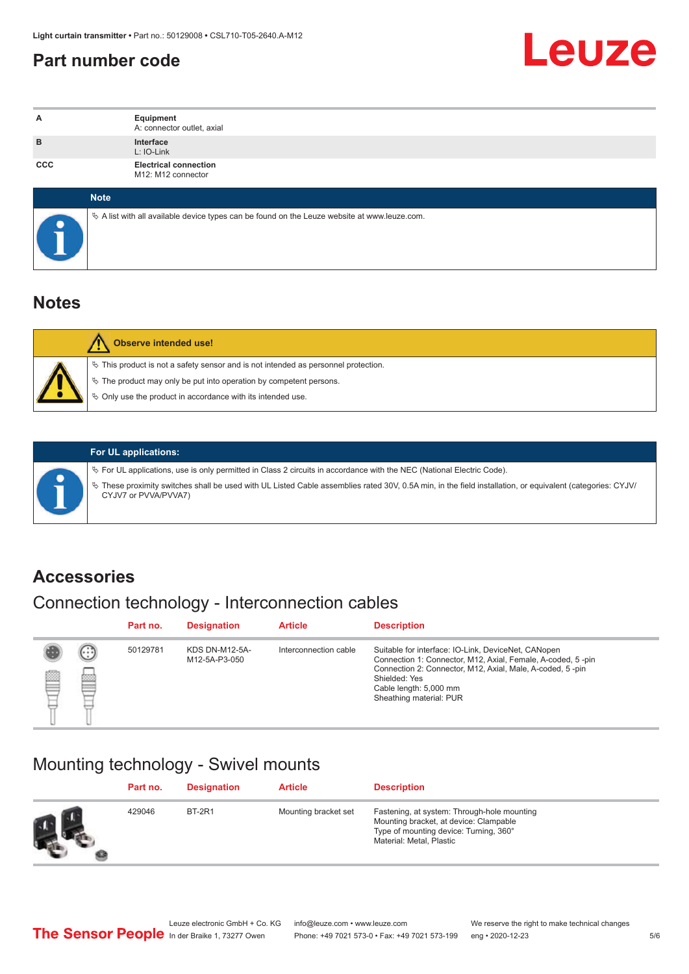## <span id="page-4-0"></span>**Part number code**



| А          | Equipment<br>A: connector outlet, axial                                                         |
|------------|-------------------------------------------------------------------------------------------------|
| B          | Interface<br>L: IO-Link                                                                         |
| <b>CCC</b> | <b>Electrical connection</b><br>M12: M12 connector                                              |
|            | <b>Note</b>                                                                                     |
|            | $\&$ A list with all available device types can be found on the Leuze website at www.leuze.com. |

## **Notes**

| Observe intended use!                                                                                                                                                                                                      |
|----------------------------------------------------------------------------------------------------------------------------------------------------------------------------------------------------------------------------|
| $\%$ This product is not a safety sensor and is not intended as personnel protection.<br>§ The product may only be put into operation by competent persons.<br>♦ Only use the product in accordance with its intended use. |

|  | $\%$ For UL applications, use is only permitted in Class 2 circuits in accordance with the NEC (National Electric Code). |                                                                                                                                                                                    |
|--|--------------------------------------------------------------------------------------------------------------------------|------------------------------------------------------------------------------------------------------------------------------------------------------------------------------------|
|  |                                                                                                                          | V> These proximity switches shall be used with UL Listed Cable assemblies rated 30V, 0.5A min, in the field installation, or equivalent (categories: CYJV/<br>CYJV7 or PVVA/PVVA7) |
|  |                                                                                                                          |                                                                                                                                                                                    |

**For UL applications:**

## **Accessories**

## Connection technology - Interconnection cables

|   |                              | Part no. | <b>Designation</b>                     | <b>Article</b>        | <b>Description</b>                                                                                                                                                                                                                                    |
|---|------------------------------|----------|----------------------------------------|-----------------------|-------------------------------------------------------------------------------------------------------------------------------------------------------------------------------------------------------------------------------------------------------|
| Ø | $\left( \ldots \right)$<br>幽 | 50129781 | <b>KDS DN-M12-5A-</b><br>M12-5A-P3-050 | Interconnection cable | Suitable for interface: IO-Link, DeviceNet, CANopen<br>Connection 1: Connector, M12, Axial, Female, A-coded, 5-pin<br>Connection 2: Connector, M12, Axial, Male, A-coded, 5-pin<br>Shielded: Yes<br>Cable length: 5,000 mm<br>Sheathing material: PUR |

## Mounting technology - Swivel mounts

| Part no. | <b>Designation</b> | <b>Article</b>       | <b>Description</b>                                                                                                                                          |
|----------|--------------------|----------------------|-------------------------------------------------------------------------------------------------------------------------------------------------------------|
| 429046   | BT-2R1             | Mounting bracket set | Fastening, at system: Through-hole mounting<br>Mounting bracket, at device: Clampable<br>Type of mounting device: Turning, 360°<br>Material: Metal, Plastic |